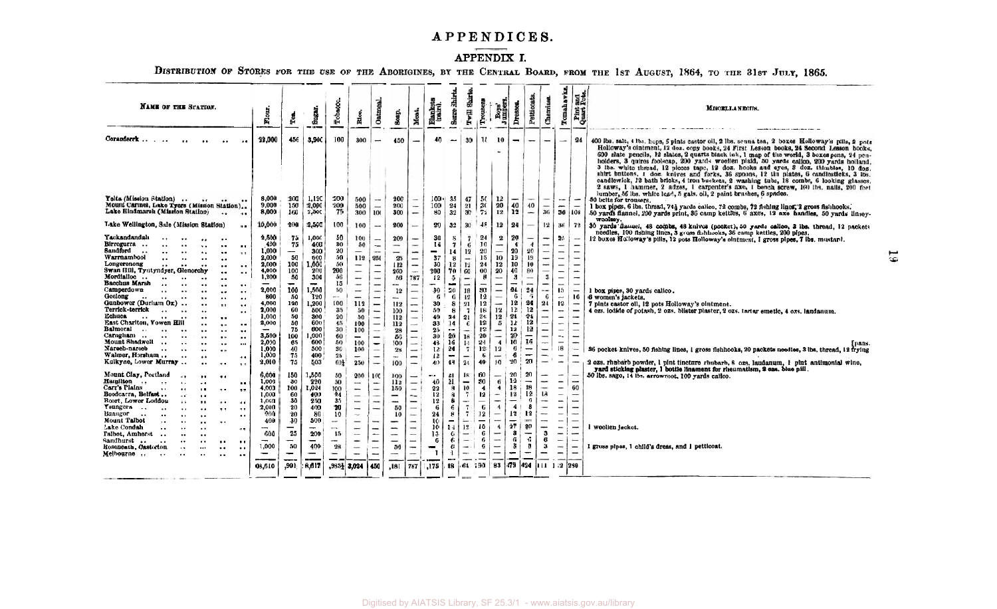# APPENDICES.

## APPENDIX I.

DISTRIBUTION OF STORES FOR THE USE OF THE ABORIGINES, BY THE CENTRAL BOARD, FROM THE 1st AUGUST, 1864, TO THE 31st JULY, 1865.

| <b>NAME OF THE STATION.</b>                                                                                                                                                                                                                                                                                                                                                                                                                                                                                                                                                                                                                                                                                                                                                                                                                                                                                                                                                                                                                                                                                                                                                                                                                                                                                                                                                                                                                                                                                                                                                                                                                                                                                                                                                                                                                                                                                                                                                                                                                                                                                                                                                                             | Flour.                                                                                                                                                                                                                            | ê                                                                                                                                                                                                                          | Sugar.                                                                                                                                                                                                                                | Tobacco.                                                                                                                                                                                          | Rios.                                                                                                                                                                                                                                                                                                                                         | Oatm                                                                                                                                                                                                                                                                                                                                                                                                                                                                                                                                                                                                                                                                                                                                                                                                                                                                                                                                                    | Soap.                                                                                                                                                                                                                                                          | Mest.                                                                                                                                                                                                                                                                                                                                                                                                                                        | Blankets<br>(pairs).                                                                                                                                                                                 | Shirts<br>Serre!                                                                                                                                                                                                                | Twill Shirts                                                                                                                                                                                                                                                                      | Trousers                                                                                                                                                                                              | Boys'<br>Jumper                                                                                                                                                                                                                                                        | Dresses.                                                                                                                                                                                            | Petticoat                                                                                                                                                                                                                                                | Chemis                                                                                                                                                                                                                                                                                                        | Tomahawks                                                                                                                                                                                                                                                                                                                                                                                                                                                                                                    | and<br>Pots<br>Pint <sub>1</sub>                                                                                                                                                                                                                                                                       | MISCELLANEOUS.                                                                                                                                                                                                                                                                                                                                                                                                                                                                                                                                                                                                                                                                                                                                                                                                                         |
|---------------------------------------------------------------------------------------------------------------------------------------------------------------------------------------------------------------------------------------------------------------------------------------------------------------------------------------------------------------------------------------------------------------------------------------------------------------------------------------------------------------------------------------------------------------------------------------------------------------------------------------------------------------------------------------------------------------------------------------------------------------------------------------------------------------------------------------------------------------------------------------------------------------------------------------------------------------------------------------------------------------------------------------------------------------------------------------------------------------------------------------------------------------------------------------------------------------------------------------------------------------------------------------------------------------------------------------------------------------------------------------------------------------------------------------------------------------------------------------------------------------------------------------------------------------------------------------------------------------------------------------------------------------------------------------------------------------------------------------------------------------------------------------------------------------------------------------------------------------------------------------------------------------------------------------------------------------------------------------------------------------------------------------------------------------------------------------------------------------------------------------------------------------------------------------------------------|-----------------------------------------------------------------------------------------------------------------------------------------------------------------------------------------------------------------------------------|----------------------------------------------------------------------------------------------------------------------------------------------------------------------------------------------------------------------------|---------------------------------------------------------------------------------------------------------------------------------------------------------------------------------------------------------------------------------------|---------------------------------------------------------------------------------------------------------------------------------------------------------------------------------------------------|-----------------------------------------------------------------------------------------------------------------------------------------------------------------------------------------------------------------------------------------------------------------------------------------------------------------------------------------------|---------------------------------------------------------------------------------------------------------------------------------------------------------------------------------------------------------------------------------------------------------------------------------------------------------------------------------------------------------------------------------------------------------------------------------------------------------------------------------------------------------------------------------------------------------------------------------------------------------------------------------------------------------------------------------------------------------------------------------------------------------------------------------------------------------------------------------------------------------------------------------------------------------------------------------------------------------|----------------------------------------------------------------------------------------------------------------------------------------------------------------------------------------------------------------------------------------------------------------|----------------------------------------------------------------------------------------------------------------------------------------------------------------------------------------------------------------------------------------------------------------------------------------------------------------------------------------------------------------------------------------------------------------------------------------------|------------------------------------------------------------------------------------------------------------------------------------------------------------------------------------------------------|---------------------------------------------------------------------------------------------------------------------------------------------------------------------------------------------------------------------------------|-----------------------------------------------------------------------------------------------------------------------------------------------------------------------------------------------------------------------------------------------------------------------------------|-------------------------------------------------------------------------------------------------------------------------------------------------------------------------------------------------------|------------------------------------------------------------------------------------------------------------------------------------------------------------------------------------------------------------------------------------------------------------------------|-----------------------------------------------------------------------------------------------------------------------------------------------------------------------------------------------------|----------------------------------------------------------------------------------------------------------------------------------------------------------------------------------------------------------------------------------------------------------|---------------------------------------------------------------------------------------------------------------------------------------------------------------------------------------------------------------------------------------------------------------------------------------------------------------|--------------------------------------------------------------------------------------------------------------------------------------------------------------------------------------------------------------------------------------------------------------------------------------------------------------------------------------------------------------------------------------------------------------------------------------------------------------------------------------------------------------|--------------------------------------------------------------------------------------------------------------------------------------------------------------------------------------------------------------------------------------------------------------------------------------------------------|----------------------------------------------------------------------------------------------------------------------------------------------------------------------------------------------------------------------------------------------------------------------------------------------------------------------------------------------------------------------------------------------------------------------------------------------------------------------------------------------------------------------------------------------------------------------------------------------------------------------------------------------------------------------------------------------------------------------------------------------------------------------------------------------------------------------------------------|
| Coranderrk<br>$\cdot$<br>$\cdot$                                                                                                                                                                                                                                                                                                                                                                                                                                                                                                                                                                                                                                                                                                                                                                                                                                                                                                                                                                                                                                                                                                                                                                                                                                                                                                                                                                                                                                                                                                                                                                                                                                                                                                                                                                                                                                                                                                                                                                                                                                                                                                                                                                        | 22,000                                                                                                                                                                                                                            | 456                                                                                                                                                                                                                        | 3.900                                                                                                                                                                                                                                 | 100                                                                                                                                                                                               | 300                                                                                                                                                                                                                                                                                                                                           | -                                                                                                                                                                                                                                                                                                                                                                                                                                                                                                                                                                                                                                                                                                                                                                                                                                                                                                                                                       | 450                                                                                                                                                                                                                                                            | -                                                                                                                                                                                                                                                                                                                                                                                                                                            | 40                                                                                                                                                                                                   |                                                                                                                                                                                                                                 | 30                                                                                                                                                                                                                                                                                | Ħ.                                                                                                                                                                                                    | 10                                                                                                                                                                                                                                                                     | $\overline{\phantom{a}}$                                                                                                                                                                            | -                                                                                                                                                                                                                                                        | $\overline{\phantom{0}}$                                                                                                                                                                                                                                                                                      | $\overline{\phantom{0}}$                                                                                                                                                                                                                                                                                                                                                                                                                                                                                     | 24                                                                                                                                                                                                                                                                                                     | 400 lbs. salt. 4 lbs. hops, 6 pints castor oil, 2 lbs. senna tea, 2 boxes Holloway's pills. 2 pots<br>Holloway's ointment, 12 doz. copy books, 24 First Lesson books, 24 Second Lesson books,<br>600 slate pencils, 12 slates, 2 quarts black ink, 1 map of the world, 3 boxes pens, 24 pen-<br>holders, 3 quires foolscap, 200 yards woollen plaid, 50 yards calico, 200 yards holland.<br>3 lbs. white thread, 12 pieces tape, 12 doz. hooks and eyes, 3 doz. thimbles, 10 doz.<br>shirt buttons, 1 doz. knives and forks, 36 spoons, 12 tin plates, 6 candlesticks, 3 lbs.<br>candlewick, 12 bath bricks, 4 iron buckets, 2 washing tubs, 18 combs, 6 looking glasses.<br>2 saws, 1 hammer, 2 adzes, 1 carpenter's axe, 1 bench screw, 100 lbs. nails, 200 feet                                                                     |
| Yelta (Mission Station)<br>Mount Carmel, Lake Tyers (Mission Station)<br>Lake Hindmarsh (Mission Station)<br><br>$\bullet$                                                                                                                                                                                                                                                                                                                                                                                                                                                                                                                                                                                                                                                                                                                                                                                                                                                                                                                                                                                                                                                                                                                                                                                                                                                                                                                                                                                                                                                                                                                                                                                                                                                                                                                                                                                                                                                                                                                                                                                                                                                                              | 8,000<br>9.000<br>8,000                                                                                                                                                                                                           | 200<br>150<br>160                                                                                                                                                                                                          | 1.120<br>2,000<br>2.500                                                                                                                                                                                                               | 200<br>200<br>75                                                                                                                                                                                  | 500<br>500<br>300                                                                                                                                                                                                                                                                                                                             | $\sim$<br>100                                                                                                                                                                                                                                                                                                                                                                                                                                                                                                                                                                                                                                                                                                                                                                                                                                                                                                                                           | 200<br>200<br>300                                                                                                                                                                                                                                              | $\overline{\phantom{0}}$<br>$\sim$                                                                                                                                                                                                                                                                                                                                                                                                           | 100+<br>100 <sub>1</sub><br>80                                                                                                                                                                       | 35<br>24<br>32                                                                                                                                                                                                                  | 47<br>21<br>30                                                                                                                                                                                                                                                                    | -50<br>30<br>72                                                                                                                                                                                       | 12<br>20<br>12                                                                                                                                                                                                                                                         | 40<br>12                                                                                                                                                                                            | $\sim$<br>40<br>$\overline{\phantom{a}}$                                                                                                                                                                                                                 | $\overline{\phantom{a}}$<br>$\frac{1}{2}$<br>36                                                                                                                                                                                                                                                               | $\sim$<br>$\overline{\phantom{0}}$<br>36 108                                                                                                                                                                                                                                                                                                                                                                                                                                                                 | $\overline{\phantom{0}}$                                                                                                                                                                                                                                                                               | lumber, 56 lbs. white lead, 5 gals. oil, 2 paint brushes, 6 spades.<br>50 belts for trousers.<br>I box pipes, 6 lbs. thread, 74} yards calico, 72 combs, 72 fishing lines, 2 gross fishhooks.<br>50 yards flannel, 200 yards print, 36 camp kettles, 6 axes, 12 axe handles, 50 yards linsey-                                                                                                                                                                                                                                                                                                                                                                                                                                                                                                                                          |
| Lake Wellington, Sale (Mission Station)<br>$\bullet$<br>Yackandandah<br>Birregurra<br>$\bullet$ .<br>$\bullet$ $\bullet$<br>Sandford<br>$\ddot{\phantom{0}}$<br><br>$\ddot{\phantom{0}}$<br><br>$\bullet$ $\bullet$<br>$\ddot{\phantom{a}}$<br>Warrnambool<br>$\ddot{\phantom{0}}$<br>$\cdot \cdot$<br>$\ddot{\phantom{a}}$<br>Longerenong<br>$\bullet$ .<br>$\bullet \bullet$<br>$\bullet$ $\bullet$<br>Swan Hill, Tyntyndyer,<br>Glenorchy<br>$\ddot{\phantom{a}}$<br>$\bullet$ $\bullet$<br>Mordialloc<br>$\ddot{\phantom{0}}$<br>$\ddot{\phantom{0}}$<br>Bacchus Marsh<br>$\cdot$ $\cdot$<br><br>$\bullet$ $\bullet$<br>Camperdown<br>$\cdot$ .<br><br>$\ddot{\phantom{0}}$<br>$\bullet$ $\bullet$<br>$\bullet$ $\bullet$<br>Geelong<br>$\ddot{\phantom{a}}$<br>$\ddotsc$<br>$\bullet$ $\bullet$<br>Gunbower (Durham Ox)<br><br>$\bullet$ $\bullet$<br>$\ddot{\phantom{1}}$<br>Terrick-terrick<br>$\ddot{\phantom{0}}$<br>$\bullet$ $\bullet$<br>Echuca<br>$\ddot{\phantom{0}}$<br>$\ddot{\phantom{0}}$<br>$\bullet$<br>East Charlton, Yowen Hill<br><br>$\ddot{\phantom{a}}$<br>$\cdot$<br>Balmoral<br>$\sim$<br>$\ddot{\phantom{0}}$<br><br>$\ddot{\phantom{a}}$<br>$\bullet$ $\bullet$<br>Carngham<br>$\sim$<br>$\ddot{\phantom{0}}$<br>$\cdot$ .<br>$\ddot{\phantom{0}}$<br>$\bullet$<br>$\ddot{\phantom{a}}$<br>Mount Shadwell<br>$\ddotsc$<br><br>$\bullet$ $\bullet$<br>$\cdots$<br>Narech-narech<br>$\ddot{\phantom{0}}$<br>$\ddotsc$<br>$\ddot{\phantom{a}}$<br>Walmer, Horsham<br>$\ddot{\phantom{0}}$<br>$\cdot \cdot$<br>$\bullet$ $\bullet$<br>Kulkyne, Lower Murray<br>$\ddot{\phantom{a}}$<br>$\sim$ $\sim$<br>Mount Clay, Portland<br>$\sim$ $\sim$<br>$\bullet$<br>Hamilton<br>$\sim$<br>$\ddotsc$<br>$\ddot{\phantom{a}}$<br>$\bullet$ $\bullet$<br>$\ddot{\phantom{0}}$<br>Carr's Plains<br>$\ddot{\phantom{a}}$<br>$\bullet$ $\bullet$<br>$\ddot{\phantom{a}}$<br>$\bullet$ $\bullet$<br>Boodcarra, Belfast<br>ò.<br>$\bullet$<br>Boort, Lower Loddon<br>$\ddot{\phantom{1}}$<br>$\cdot$<br>$\ddot{\phantom{a}}$<br>$\bullet$ $\bullet$<br>Youngers.<br>$\ddot{\phantom{a}}$<br><br>$\ddotsc$<br>$\bullet$ $\bullet$<br>Buangor<br>$\ddot{\phantom{a}}$<br>$\ddot{\phantom{0}}$ | 10,000<br>2.500<br>400<br>1,000<br>2,000<br>2.000<br>4,000<br>1.200<br>2,000<br>800<br>4.000<br>2.000<br>1.000<br>2.000<br>3.500<br>2.000<br>1.000<br>1.000<br>2.010<br>6,000<br>1.000<br>4,000<br>1.000<br>1.000<br>2,000<br>200 | 200<br>75<br>75<br>$\overline{\phantom{a}}$<br>50<br>100<br>100<br>50<br>$\overline{\phantom{0}}$<br>100<br>-50<br>120<br>60<br>50<br>50<br>75<br>100<br>65.<br>40<br>75<br>75<br>150<br>30<br>100<br>60<br>30<br>20<br>20 | 2,500<br>1,000<br>400<br>300<br>600<br>1.000<br>200<br>300<br>$\overline{\phantom{a}}$<br>1,500<br>120<br>1,200<br>500<br>300<br>600<br>600<br>1.000<br>600<br>500<br>400<br>503<br>1,500<br>220<br>1.024<br>400<br>250<br>400<br>-80 | 100<br>50<br>30<br>20<br>50<br>50<br>200<br>56<br>15<br>50<br>$\frac{1}{2}$<br>100<br>35<br>20<br>45<br>30 <sub>2</sub><br>60<br>50<br>30<br>25<br>601<br>50<br>50<br>100<br>24<br>35<br>20<br>10 | 100<br>100<br>50<br>-<br>112<br>$\frac{1}{2}$<br>$\frac{1}{2}$<br>$\overline{\phantom{m}}$<br>$\overline{\phantom{a}}$<br>$\overline{\phantom{m}}$<br>-<br>112<br>50<br>50<br>100<br>100<br>$\overline{\phantom{a}}$<br>100<br>100<br>-<br>250<br>200<br>$\cdots$<br>$\overline{\phantom{a}}$<br>-<br>$\overline{\phantom{a}}$<br>-<br>$\sim$ | $\sim$<br>$\overline{\phantom{a}}$<br>$\qquad \qquad$<br>$-$<br>250<br>$\qquad \qquad \blacksquare$<br>$\overline{\phantom{a}}$<br>$\overline{\phantom{a}}$<br>$\overline{\phantom{a}}$<br>$\frac{1}{2} \left( \frac{1}{2} \right) \left( \frac{1}{2} \right) \left( \frac{1}{2} \right) \left( \frac{1}{2} \right) \left( \frac{1}{2} \right) \left( \frac{1}{2} \right) \left( \frac{1}{2} \right) \left( \frac{1}{2} \right) \left( \frac{1}{2} \right) \left( \frac{1}{2} \right) \left( \frac{1}{2} \right) \left( \frac{1}{2} \right) \left( \frac{1}{2} \right) \left( \frac{1}{2} \right) \left( \frac{1}{2} \right) \left( \frac{1}{2} \right) \left( \frac$<br>$\overline{\phantom{m}}$<br>$\frac{1}{2}$<br>$\qquad \qquad$<br>$\frac{1}{2}$<br>$\rightarrow$<br>-<br>$\overline{\phantom{0}}$<br>$\overline{\phantom{a}}$<br>$\qquad \qquad$<br>100<br>-<br>$\overline{\phantom{0}}$<br>$\sim$<br>$\rightarrow$<br>$\qquad \qquad$<br>$\sim$ | 200<br>200<br>$\overline{\phantom{a}}$<br>$\overline{\phantom{0}}$<br>25<br>112<br>200<br>56<br>--<br>12<br>$\qquad \qquad$<br>112<br>100<br>112<br>112<br>28<br>56<br>100<br>28<br>m<br>100<br>100<br>112<br>150<br>-<br>$\overline{\phantom{m}}$<br>50<br>10 | -<br>-<br>-<br>$\overline{\phantom{0}}$<br>-<br>$\overline{\phantom{a}}$<br>787<br>$\overline{\phantom{0}}$<br>$\overline{\phantom{0}}$<br>-<br>$\overline{\phantom{0}}$<br>$\overline{\phantom{a}}$<br>$\overline{\phantom{a}}$<br>$\overline{\phantom{0}}$<br>L.<br>$\overline{\phantom{0}}$<br>$\overbrace{\phantom{1232111}}$<br>-<br>$\qquad \qquad$<br>-<br>- 1<br>$\overline{\phantom{0}}$<br>$\overline{\phantom{0}}$<br>-<br>-<br>- | 20<br>30<br>14<br>$\overline{\phantom{a}}$<br>37<br>30<br>200<br>12<br>and in<br>30<br>6.<br>30.<br>50<br>40<br>33<br>25<br>30<br>48<br>$12^{\circ}$<br>12<br>40<br>40<br>22<br>12<br>12<br>6.<br>24 | 32<br>s<br>7<br>14<br>8<br>$12-12$<br>70<br>5<br>$\overline{\phantom{a}}$<br>20<br>6<br>8<br>8<br>24<br>14<br>$\overline{\phantom{a}}$<br>20<br>16<br>24<br>$\frac{1}{2}$<br>48<br>21<br>21<br>8<br>я<br>8<br>6<br>$\mathbf{8}$ | 30<br>$\overline{\phantom{a}}$<br>6.<br>12<br>$\frac{1}{2}$<br>12<br>60<br>$\overline{\phantom{0}}$<br>-<br>18<br>12<br>21<br>$\overline{7}$<br>21<br>6<br>-<br>18<br>14<br>$\overline{7}$<br>-<br>24<br>18<br>-<br>10<br>$\overline{7}$<br>÷<br>$\overline{7}$<br>$\overline{7}$ | 48<br>24<br>10<br>20<br>15<br>24<br>00<br>—<br>30<br>12<br>12<br>18<br>24<br>12<br>12<br>20<br>24<br>12<br>-6<br>40<br>60<br>30<br>$\blacktriangleleft$<br>12<br>$\overline{\phantom{0}}$<br>-6<br>12 | 12<br>$\boldsymbol{2}$<br>∸<br>10<br>12<br>20<br>-<br>$\frac{1}{2}$<br>-<br>$\overline{\phantom{0}}$<br>12<br>12<br>5<br>-<br>$\overline{\phantom{0}}$<br>$\overline{\mathbf{A}}$<br>12<br>-<br>$10^{-1}$<br>-<br>6<br>$\overline{4}$<br>-<br>-<br>$\overline{4}$<br>- | 24<br>20<br>$\overline{4}$<br>20<br>19<br>10<br>40<br>я<br>$\overline{\phantom{a}}$<br>24<br>-6<br>12<br>12<br>24<br>12<br>12<br>20<br>16<br>-61<br>6<br>20<br>20<br>12<br>18<br>12<br>-<br>4<br>12 | $\mathbf{A}$<br>20<br>19<br>10<br>80<br>-<br>--<br>94<br>-6<br>24<br>12<br>2.1<br>12<br>12<br>$\overline{\phantom{0}}$<br>16<br>$\overline{\phantom{a}}$<br>$\overline{\phantom{a}}$<br>20<br>20<br>$\overline{\phantom{m}}$<br>18<br>12<br>6<br>8<br>12 | 12<br>-<br>$\overline{\phantom{0}}$<br>$\qquad \qquad$<br>$\overline{\phantom{a}}$<br>$\overline{\phantom{a}}$<br>-<br>3<br>ļ<br>$\overline{\phantom{a}}$<br>6<br>24<br>-<br>$\overline{\phantom{a}}$<br>$\overbrace{\phantom{1232211}}$<br>-<br>-<br>∸<br>$\overline{\phantom{a}}$<br>-<br>-<br>18<br>-<br>- | 36<br>25<br>$\overline{\phantom{a}}$<br>$\overline{\phantom{a}}$<br>$\overline{\phantom{a}}$<br>$\qquad \qquad$<br>$\qquad \qquad$<br>$\overline{\phantom{a}}$<br>$\overline{\phantom{a}}$<br>15<br><b>A</b><br>12<br>$\sim$<br>$\qquad \qquad$<br>$\overline{\phantom{a}}$<br>$\sim$<br>$\overline{\phantom{a}}$<br>$\overline{\phantom{a}}$<br>18<br>$\overline{\phantom{a}}$<br>-<br>-<br>÷<br>$\qquad \qquad -$<br>$\overline{\phantom{m}}$<br>$\overline{\phantom{0}}$<br>÷<br>$\overline{\phantom{a}}$ | 72<br>$\overline{\phantom{a}}$<br>-<br>$\overline{\phantom{a}}$<br>$\overline{\phantom{a}}$<br>-<br>-<br>-<br>-<br>$\overbrace{\qquad \qquad }$<br>16<br>-<br>-<br>÷<br>$\overline{\phantom{0}}$<br>-<br>−<br>-<br>-<br>-<br>$\overline{\phantom{0}}$<br>60<br>-<br>-<br>$\overline{\phantom{0}}$<br>- | woolsey.<br>30 yards flannel, 48 combs, 48 knives (pocket), 50 yards calleo, 3 lbs. thread, 12 packets<br>needles, 100 fishing lines, 3 gross fishinooks, 36 camp kettles, 200 pipes.<br>12 boxes Holloway's pills, 12 pots Holloway's olutment, 1 gross pipes, 7 lbs. mustant.<br>1 box pipes, 30 yards calico.<br>6 women's jackets.<br>7 pints castor oil, 12 pots Holloway's ointment.<br>4 ozs. iodide of potash, 2 ozs. blister plaster, 2 ozs. tartar emetic, 4 ozs. laudanum.<br>Fpans.<br>36 pocket knives, 50 fishing lines, 1 gross fishbooks, 20 packets needles, 3 lbs. thread, 12 frying<br>2 ozs. rhubarb powder, 1 pint tincture rhubarb, 8 ozs. laudanum, 1 pint antimonial wine,<br>yard sticking plaster, I bottle linament for rheumatism, 2 ozs. blue pill,<br>50 lbs. sago, 14 lbs. arrowroot, 100 vards calleo. |
| $\ddot{\phantom{0}}$<br>$\ddot{\phantom{0}}$<br>$\bullet$<br>Mount T <b>albot</b><br>$\ddot{\phantom{0}}$<br>$\ddot{\phantom{a}}$<br>$\cdot$<br>$\bullet$<br>Lake Condah<br>$\ddot{\phantom{a}}$<br>$\cdot$<br>$\cdot$ .<br>$\bullet$<br>Talbot, Amherst<br>$\ddot{\phantom{a}}$<br>Sandhurst<br>$\cdot$<br>$\cdot$ .<br>Roseneath, Castorton<br>$\ddot{\phantom{a}}$<br>$\cdots$<br>$\ddot{\bullet}$<br>$\ddot{\bullet}$<br>Melbourne<br>$\ddot{\phantom{a}}$<br>$\ddot{\phantom{a}}$<br>$\ddot{\phantom{a}}$<br>$\ddot{\phantom{a}}$<br>$\bullet$                                                                                                                                                                                                                                                                                                                                                                                                                                                                                                                                                                                                                                                                                                                                                                                                                                                                                                                                                                                                                                                                                                                                                                                                                                                                                                                                                                                                                                                                                                                                                                                                                                                     | 400<br>600<br>1,000<br>08,610                                                                                                                                                                                                     | 30<br>25<br>$\overline{\phantom{a}}$<br>50<br>-<br>,991                                                                                                                                                                    | 500<br>200<br>400<br>$\sim$<br>18,617                                                                                                                                                                                                 | $-$<br>15<br>--<br>28<br>-<br>,983 3,024                                                                                                                                                          | -<br>-<br>$\overline{\phantom{0}}$<br>$\overline{\phantom{m}}$<br>$\overline{\phantom{a}}$                                                                                                                                                                                                                                                    | -<br>-<br>$\overline{\phantom{m}}$<br>-<br>$\overline{\phantom{a}}$<br>-<br>450                                                                                                                                                                                                                                                                                                                                                                                                                                                                                                                                                                                                                                                                                                                                                                                                                                                                         | -<br>-<br>-<br>56<br>-<br>,181                                                                                                                                                                                                                                 | $\overline{\phantom{m}}$<br>$\frac{1}{2}$<br>$\overline{\phantom{a}}$<br>-<br>$\overline{\phantom{a}}$<br> 787                                                                                                                                                                                                                                                                                                                               | 10<br>10.<br>13.<br>6.<br>-<br>$\mathbf{r}$<br>-175 . ا                                                                                                                                              | $\overline{\phantom{0}}$<br>14<br>6<br>6<br>G.<br>-1<br>$18.64$ 790 83 479 424 111 1 2 230                                                                                                                                      | $\overline{\phantom{a}}$<br>12<br>نست<br>-<br>$\overline{\phantom{0}}$                                                                                                                                                                                                            | 10<br>-6<br>-6<br>6<br>-                                                                                                                                                                              | --<br>$\overline{\mathbf{A}}$<br>∸<br>∸<br>-<br>-                                                                                                                                                                                                                      | $\overline{\phantom{0}}$<br>27<br>-8<br>6.<br>3<br>$\overline{\phantom{a}}$                                                                                                                         | -<br>20<br>-<br>6<br>з.<br>$\overline{\phantom{a}}$                                                                                                                                                                                                      | --<br>-<br>з<br>6<br>3<br>-                                                                                                                                                                                                                                                                                   | $\overline{\phantom{a}}$<br>۰<br>$\overline{\phantom{a}}$<br>٠<br>$\overline{\phantom{a}}$<br>۰                                                                                                                                                                                                                                                                                                                                                                                                              | -<br>$\overline{\phantom{0}}$<br>$\overline{\phantom{0}}$<br>$\overline{\phantom{m}}$<br>∽<br>-                                                                                                                                                                                                        | I woollen jacket.<br>I gross pipes, 1 child's dress, and I petticoat.                                                                                                                                                                                                                                                                                                                                                                                                                                                                                                                                                                                                                                                                                                                                                                  |

 $61$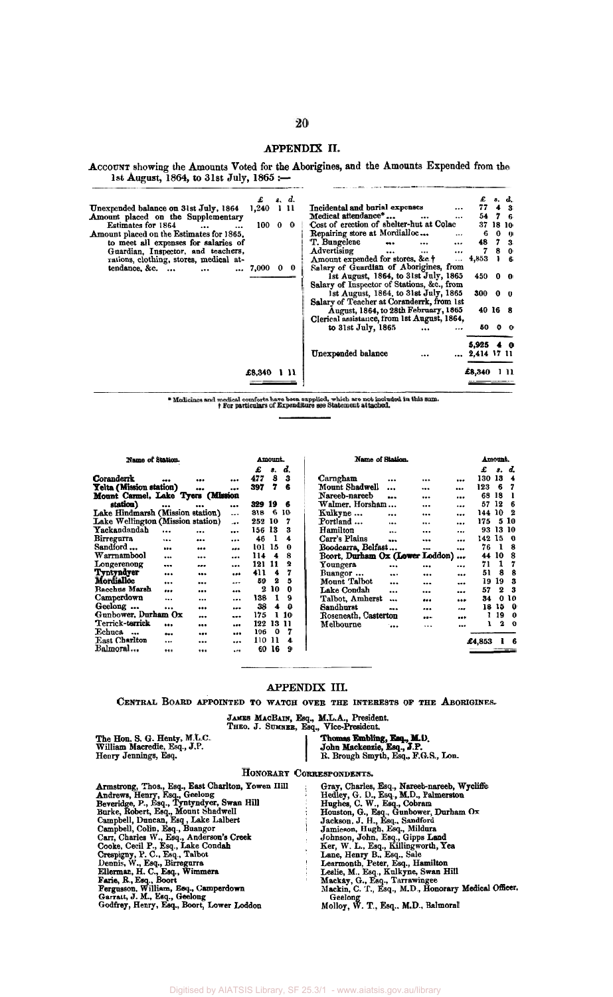## APPENDIX II.

ACCOUNT showing the Amounts Voted for the Aborigines, and the Amounts Expended from the 1st August, 1864, to 31st July, 1865 :-

|                                          | £         | s. d. |      | Incidental and burial expenses                   |                |         | s. d.          |
|------------------------------------------|-----------|-------|------|--------------------------------------------------|----------------|---------|----------------|
| Unexpended balance on 31st July, 1864    | 1.240     | 1 11  |      |                                                  | 77             |         | 3              |
| Amount placed on the Supplementary       |           |       |      | Medical attendance*<br>$\cdots$                  | 54             |         | 76             |
| Estimates for 1864<br>$\cdots$           | 100000    |       |      | Cost of erection of shelter-hut at Colac         | 37             | 18 10   |                |
| Amount placed on the Estimates for 1865. |           |       |      | Repairing store at Mordialloc<br>$\cdots$        | 6              |         | $0 \quad 0$    |
| to meet all expenses for salaries of     |           |       |      | T. Bungelene<br>$\cdots$                         | 48             |         | 7 <sub>3</sub> |
| Guardian, Inspector, and teachers,       |           |       |      | Advertising<br>$\cdots$<br>$\ddotsc$<br>$\cdots$ | 7              |         | 8 <sub>0</sub> |
| rations, clothing, stores, medical at-   |           |       |      | Amount expended for stores, &c.+<br>$\cdots$     | 4,853          |         | 16             |
| tendance, &c.                            | 7,000 0 0 |       |      | Salary of Guardian of Aborigines, from           |                |         |                |
|                                          |           |       |      | 1st August, 1864, to 31st July, 1865             | 450 0 0        |         |                |
|                                          |           |       |      | Salary of Inspector of Stations, &c., from       |                |         |                |
|                                          |           |       |      | 1st August, 1864, to 31st July, 1865             | 300            |         | 0 <sub>0</sub> |
|                                          |           |       |      | Salary of Teacher at Coranderrk, from 1st        |                |         |                |
|                                          |           |       |      | August, 1864, to 28th February, 1865             |                | 40 16 8 |                |
|                                          |           |       |      | Clerical assistance, from 1st August, 1864,      |                |         |                |
|                                          |           |       |      | to $31st$ July, $1865$<br>                       |                | 5000    |                |
|                                          |           |       |      |                                                  |                |         |                |
|                                          |           |       |      |                                                  | 5,925          | -40     |                |
|                                          |           |       |      | Unexpended balance                               | $ 2,414$ 17 11 |         |                |
|                                          | £8.340    |       | -111 |                                                  | £8,340         |         | 1 H            |
|                                          |           |       |      |                                                  |                |         |                |

 $\bullet$  Medicines and medical comforts have been supplied, which are not included in this sum. <br>  $\dagger$  For particulars of Expenditure see Statement attached.

Ť

Amount.

Name of Station.

|                                   |           |       |         | Æ.     | s.  | a. |  |
|-----------------------------------|-----------|-------|---------|--------|-----|----|--|
| Coranderrk                        |           |       |         | 477    | 8   | 3  |  |
| Yelta (Mission station)           |           |       |         | 397    | 7   | 6  |  |
| Mount Carmel, Lake Tyers (Mission |           |       |         |        |     |    |  |
| station)                          |           |       |         | 329.   | -19 | 6  |  |
| Lake Hindmarsh (Mission station)  |           |       |         | 318    | 6   | 10 |  |
| Lake Wellington (Mission station) |           |       | $\cdot$ | 252    | 10  | 7  |  |
| Yackandandah                      |           |       |         | 156 13 |     | 3  |  |
| Birregurra                        |           |       |         | 46     | 1   | 4  |  |
| Sandford                          | $\ddotsc$ |       |         | 101    | 15  | 0  |  |
| Warrnambool                       |           |       |         | 114    | 4   | 8  |  |
| Longerenong                       |           |       |         | 121    | 11  | 2  |  |
| Tyntyndyer                        |           |       | - - -   | 411    | 4   | 7  |  |
| Mordialloc                        | u.        |       |         | 59     | 2   | 5  |  |
| <b>Bacchus Marsh</b>              |           |       |         | 2      | 10  | 0  |  |
| Camperdown                        |           |       |         | 138    | 1   | 9  |  |
| Geelong                           |           | . .   |         | 38     | 4   | 0  |  |
| Gunbower, Durham Ox               |           |       |         | 175    | ı   | 10 |  |
| Terrick-terrick                   |           |       |         | 122    | 13  | 11 |  |
| Echuca<br>$\ddot{\phantom{a}}$    |           | i min |         | 106    | 0   | 7  |  |
| East Charlton                     |           |       |         | 110    | 11  | 4  |  |
| Balmoral…                         |           |       |         | 60     | 16  | 9  |  |
|                                   |           |       |         |        |     |    |  |

| Name of Station.                |  |         | Amount. |    |
|---------------------------------|--|---------|---------|----|
|                                 |  | £       | 8.      | d. |
| Carngham                        |  | <br>130 | 13      | 4  |
| Mount Shadwell                  |  | 123     | 6       | 7  |
| Nareeb-nareeb                   |  | 68      | 18      | ı  |
| Walmer. Horsham                 |  | 57      | 12      | 6  |
| Kulkyne                         |  | 144     | 10      | 2  |
| Portland                        |  | 175     | 5       | 10 |
| Hamilton                        |  | 93      | 13      | 10 |
| Carr's Plains                   |  | 142     | 15      | 0  |
| Boodcarra, Belfast              |  | <br>76  | 1       | 8  |
| Boort, Durham Ox (Lower Loddon) |  | 44      | -10     | 8  |
| Youngera                        |  | 71      | 1       | 7  |
| Buangor                         |  | 51      | 8       | 8  |
| Mount Talbot                    |  | 19      | 19      | 3  |
| Lake Condah                     |  | <br>57  | 2       | 3  |
| Talbot, Amherst                 |  | <br>34  | 0       | 10 |
| Sandhurst                       |  | 18      | 15      | 0  |
| Roseneath, Casterton            |  | ı       | 19      | 0  |
| Melbourne                       |  | ı       | 2       | O  |
|                                 |  | £4.853  |         | 6  |
|                                 |  |         |         |    |

#### APPENDIX III.

CENTRAL BOARD APPOINTED TO WATCH OVER THE INTERESTS OF THE ABORIGINES.

| The Hon. S. G. Henty, M.L.C. |
|------------------------------|
| William Macredie, Esq., J.P. |
| Henry Jennings, Esq.         |

JAMES MACBAIN, Esq., M.L.A., President.<br>
THEO. J. SUMNEE, Esq., Vice-President.<br>
Thomas Embling, Esq., M.D.<br>
John Mackenzie, Esq., J.P.<br>
R. Brough Smyth, Esq., F.G.S., Lon.

#### HONORARY CORRESPONDENTS.

Honorary<br>
Honorary<br>
Armstrong, Thos., Esq., East Charlton, Yowen Hill<br>
Andrews, Henry, Esq., Geelong<br>
Beveridge, P., Esq., Iyntyndyer, Swan Hill<br>
Burke, Robert, Esq., Mount Shadwell<br>
Campbell, Duncan, Esq., Lake Lalbert<br>
C

ESPONDENTS.<br>
Gray, Charles, Esq., Nareeb-nareeb, Wycliffe<br>
Hedley, G. U., Esq., M.D., Palmerston<br>
Hunston, G., Esq., Gobram<br>
Houston, G., Esq., Gobram<br>
Houston, J. H., Esq., Gipps Land<br>
Jamieson, John, Esq., Gipps Land<br>
Jo Geelong<br>Molloy, W. T., Esq., M.D., Balmoral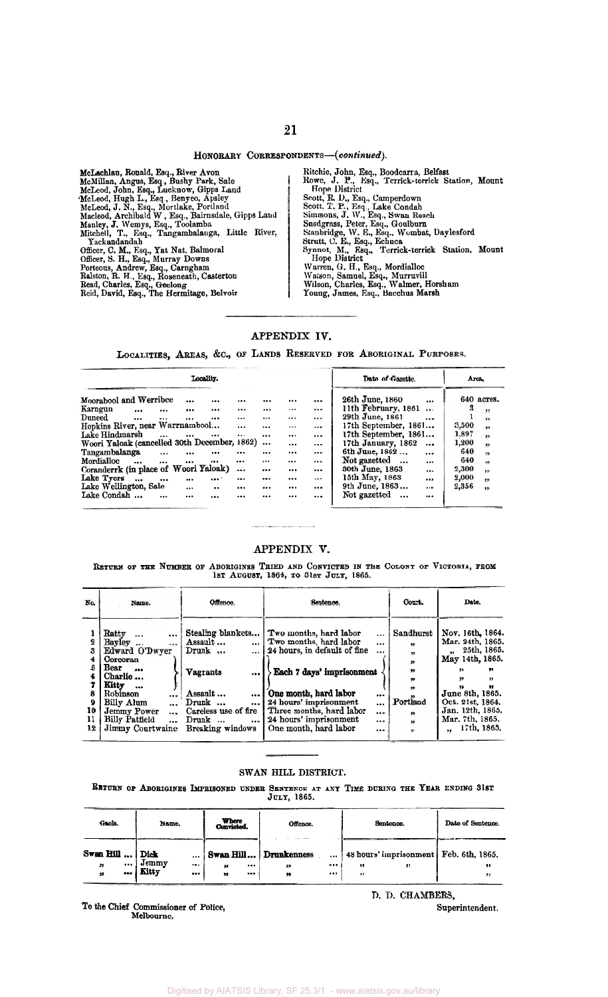## **21**

#### HONORARY CORRESPONDENTS-(continued).

McMillan, Ronald, Esq., River Avon<br>McMillan, Angus, Esq., Bushy Park, Sale<br>McLeod, John, Esq., Lucknow, Gipps Land<br>McLeod, Hugh L., Esq., Mortlake, Portland<br>McLeod, J. N., Esq., Mortlake, Portland<br>Macleod, Archibald W, Esq Officer, C. M., Esq., Yat Nat, Balmoral<br>Officer, S. H., Esq., Murray Downs<br>Porteous, Andrew, Esq., Carngham<br>Ralston, R. H., Esq., Rosencath, Casterton<br>Read, Charles, Esq., Geelong Reid, David, **Esq.,** The Hermitage, Belvoir Yackandandah

Ititchie, John, **Esq., Boodcarm,** Belfast Howe, J. **I?., Esq.,** Terrick-terrick Station, Monnt Scott, R. D., Esq., Camperdown<br>Scott, T. P., Esq., Lake Condah<br>Sinmons, J. W., Esq., Swan Reacli<br>Snodgrass, Peter, Esq., Goulburn<br>Stanbridge, W. E., Esq., Wombat, Daylesford<br>Strutt, C. E., Esq., Echuca<br>Synnot, M., Esq., Te Warren, G. H., Esq., Mordialloc<br>Watson, Samuel, Esq., Murruvill<br>Wilson, Charles, Esq., Walmer, Horsham<br>Young, James, Esq., Bacchus Marsh Hope District Hope Ilistrict

### **APPENDIX IV.**

LOCALITIES, AREAS, &C., OF LANDS RESERVED FOR ABORIGINAL PURPOSES.

| Locality.                                                            |          |          |          | Date of Gazette.                     | Area.                             |
|----------------------------------------------------------------------|----------|----------|----------|--------------------------------------|-----------------------------------|
| Moorabool and Werribee<br><br><br>                                   |          | $\cdots$ | $\cdots$ | 26th June, 1860<br>                  | 640 acres.                        |
| Karngun<br><br><br>$\cdots$<br><br>                                  |          | $\cdots$ |          | 11th February, 1861<br>$\cdots$      | з<br>,                            |
| $\bold{Duneed}$<br><br><br>$\cdots$<br>$\cdots$<br>$\cdots$          | $\cdots$ | $\cdots$ | $\cdots$ | 29th June, 1861<br>$\cdots$          | "                                 |
| Hopkins River, near Warrnambool<br>                                  | $\cdots$ | $\cdots$ | $\cdots$ | 17th September, 1861                 | 3,500<br>,,                       |
| Lake Hindmarsh<br>$\cdots$<br>$\cdots$<br><br>$\cdots$               |          |          | $\cdots$ | 17th September, 1861                 | 1,897<br>$\overline{\mathbf{1}}$  |
| Woori Yaloak (cancelled 30th December, 1862)                         | $\cdots$ |          | $\cdots$ | 17th January, 1862<br>               | 1,200<br>.,                       |
| Tangambalanga<br>$\ddotsc$<br><br><br>                               | $\cdots$ |          | $\cdots$ | 6th June, 1862<br>$\cdots$           | 640<br>,                          |
| Mordialloc<br>$\cdots$<br><br><br>$\cdots$<br>$\cdots$               |          | $\cdots$ |          | Not gazetted<br>$\cdots$<br>$\cdots$ | 640<br>$\blacksquare$             |
| Coranderrk (in place of Woori Yaloak)<br>                            | $$       |          | $\cdots$ | 30th June, 1863<br>$\cdots$          | 2,300<br>$\overline{\mathbf{32}}$ |
| Lake Tyers<br>$\cdots$<br>$\cdots$<br>$\cdots$<br><br>               |          |          | $\cdots$ | 15th May, 1863<br>                   | 2,000<br>"                        |
| Lake Wellington, Sale<br>$\cdots$<br>$\cdot \cdot \cdot$<br>$\cdots$ |          | $\cdots$ | $\cdots$ | 9th June, 1863<br>                   | 2,356<br>$\bullet$                |
| Lake Condah<br>$\ddotsc$<br>$\cdots$<br><br>                         |          | $\cdots$ |          | Not gazetted<br>$\ddotsc$<br>        |                                   |

#### **APPENDIX V.**

RETURN OF THE NUMBER OF ABORIGINES TRIED AND CONVICTED IN THE COLONY OF VICTOBIA, FROM 1st August, 1864, to 31st July, 1865.

| No.            | Name.                                                                                                                                                                                                                     | Offence.                                                                                                                                                                               | Sentence.                                                                                                                                                                                                                                                                                                                 | Court.                                                          | Date.                                                                                                                                                                                       |
|----------------|---------------------------------------------------------------------------------------------------------------------------------------------------------------------------------------------------------------------------|----------------------------------------------------------------------------------------------------------------------------------------------------------------------------------------|---------------------------------------------------------------------------------------------------------------------------------------------------------------------------------------------------------------------------------------------------------------------------------------------------------------------------|-----------------------------------------------------------------|---------------------------------------------------------------------------------------------------------------------------------------------------------------------------------------------|
| 10<br>11<br>12 | Ratty<br>$\cdots$<br>$\cdots$<br>Bayley<br><br>Edward O'Dwyer<br>Corcoran<br>Bear<br>$\cdots$<br>Charlie<br>Kitty<br>$\cdots$<br>Robinson<br>Billy Alum<br>Jemmy Power<br>Billy Patfield<br>$\ddotsc$<br>Jimmy Courtwaine | Stealing blankets<br>Assault<br>1<br>$Drunk \dots$<br>l<br><b>Vagrants</b><br><br>Assault<br>l<br>$Drunk \ldots$<br>$\cdots$<br>Careless use of fire<br>Drunk<br>1<br>Breaking windows | Two months, hard labor<br>$\cdots$<br>Two months, hard labor<br>$\ddotsc$<br>24 hours, in default of fine<br>$\cdots$<br>Each 7 days' imprisonment<br>One month, hard labor<br><br>24 hours' imprisonment<br><br>Three months, hard labor<br><br>24 hours' imprisonment<br>$\cdots$<br>One month, hard labor<br>$\ddotsc$ | Sandhurst<br>,,<br>,,<br>33<br>,,<br>,,<br>Portland<br>,,<br>,, | Nov. 16th, 1864.<br>Mar. 24th, 1865.<br>25th, 1865.<br>May 14th, 1865.<br>77<br>,,<br>99<br>99<br>June 8th, 1865.<br>Oct. 21st, 1864.<br>Jan. 12th, 1865.<br>Mar. 7th, 1865.<br>17th, 1865, |

#### SWAN HILL DISTRICT.

**BBTURN OF ABOBIGINES IMPRISONED UNDER SENTENCE AT ANY TIME DUBING THE YEAR ENDING 31st** JULY, 1865.

| Gaols.<br>Name.   |       |          | Where<br>Convicted. | Offence.              |        | Sentence. | Date of Sentence.                                 |
|-------------------|-------|----------|---------------------|-----------------------|--------|-----------|---------------------------------------------------|
| Swan Hill    Dick |       | $\cdots$ |                     | Swan Hill Drunkenness |        |           | $\ldots$ 48 hours' imprisonment   Feb. 6th, 1865. |
| $\cdots$<br>"     | Jemmy | $\cdots$ | "                   | <br>"                 | <br>,, | 99        | ,,                                                |
| <br>99            | Kitty |          | 99                  | <br>99                |        |           | 95                                                |

To the Chief Commissioner of Police,<br>Melbourne. Melbourne.

n. D. **CHAMBERS,**